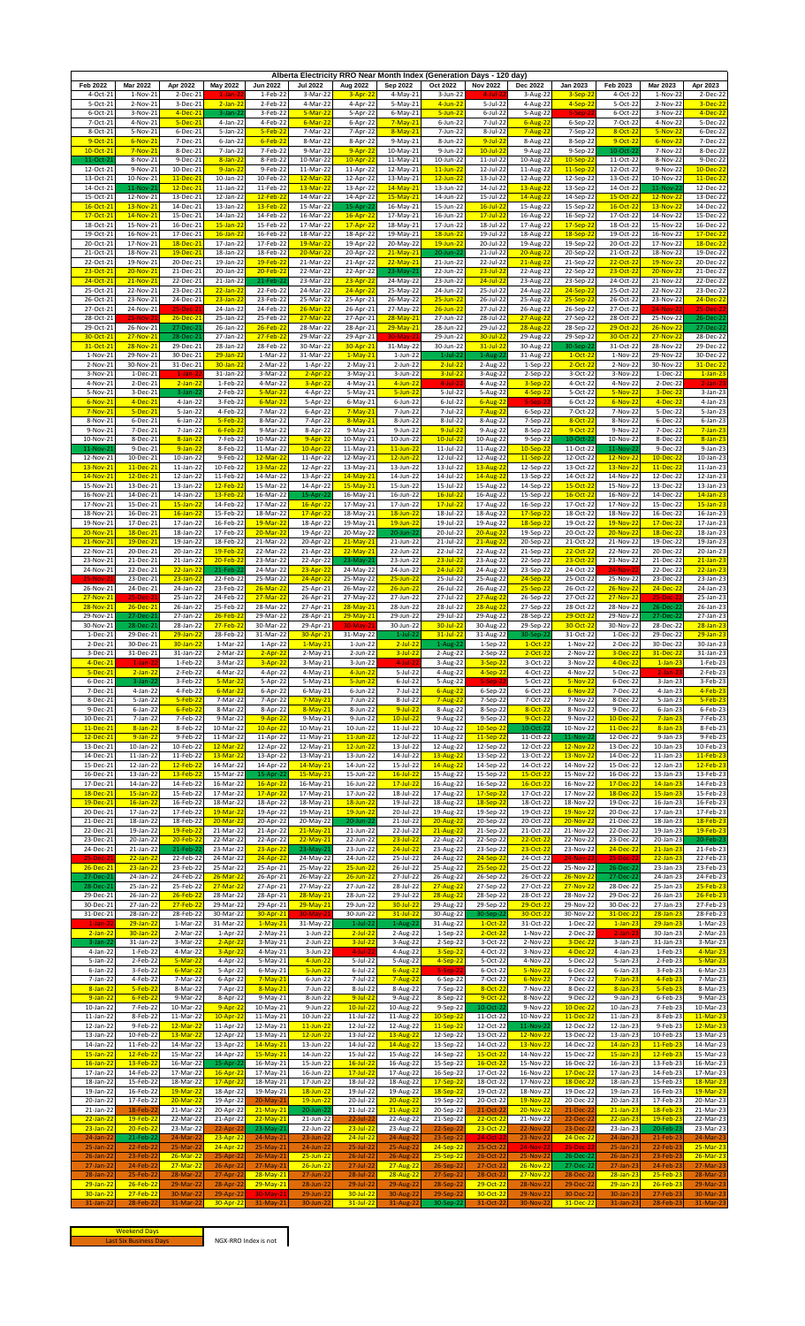| Feb 2022               | <b>Mar 2022</b>          |                              |                             | Jun 2022                         | <b>Jul 2022</b>              |                              | Alberta Electricity RRO Near Month Index (Generation Days - 120 day) | Oct 2022                      |                              | Dec 2022                  |                        | Feb 2023                     | Mar 2023                    | Apr 2023                      |
|------------------------|--------------------------|------------------------------|-----------------------------|----------------------------------|------------------------------|------------------------------|----------------------------------------------------------------------|-------------------------------|------------------------------|---------------------------|------------------------|------------------------------|-----------------------------|-------------------------------|
| 4-Oct-21               | 1-Nov-21                 | Apr 2022<br>2-Dec-21         | <b>May 2022</b><br>-lar     | 1-Feb-22                         | 3-Mar-22                     | Aug 2022<br>$3 - Apr - 22$   | Sep 2022<br>4-May-21                                                 | 3-Jun-22                      | <b>Nov 2022</b><br>4-Ju      | 3-Aug-22                  | Jan 2023<br>$3-Sep-22$ | 4-Oct-22                     | $1-Nov-22$                  | 2-Dec-22                      |
| 5-Oct-21               | 2-Nov-21                 | 3-Dec-21                     | $2$ -Jan-22                 | 2-Feb-22                         | 4-Mar-22                     | 4-Apr-22                     | 5-May-21                                                             | $4$ -Jun-22                   | $5$ -Jul-22                  | 4-Aug-22                  | $4-Sep-22$             | 5-Oct-22                     | 2-Nov-22                    | 3-Dec-22                      |
| 6-Oct-21               | 3-Nov-21                 | $4-Dec-21$                   | 3-Jan-2                     | 3-Feb-22                         | $5-Mar-22$                   | 5-Apr-22                     | 6-May-21                                                             | $5 - Jun - 22$                | $6$ -Jul-22                  | 5-Aug-22                  | 5-Sen                  | 6-Oct-22                     | 3-Nov-22                    | $4-Dec-22$                    |
| 7-Oct-21<br>8-Oct-21   | 4-Nov-21                 | 5-Dec-21                     | 4-Jan-22                    | 4-Feb-22<br>$5-Feb-2$            | $6$ -Mar-22                  | 6-Apr-22                     | $7-May-21$                                                           | 6-Jun-22                      | 7-Jul-22                     | $6 - Aug-2$               | 6-Sep-22               | 7-Oct-22<br>8-Oct-2          | 4-Nov-22<br>$5-Nov-2$       | 5-Dec-22                      |
| 9-Oct-21               | 5-Nov-21<br>6-Nov-21     | 6-Dec-21<br>7-Dec-21         | 5-Jan-22<br>6-Jan-22        | $6$ -Feb-2                       | 7-Mar-22<br>8-Mar-22         | 7-Apr-22<br>8-Apr-22         | 8-May-2<br>9-May-21                                                  | 7-Jun-22<br>8-Jun-22          | 8-Jul-22<br>$9$ -Jul-22      | $7 - Aug - 2$<br>8-Aug-22 | 7-Sep-22<br>8-Sep-22   | 9-Oct-2                      | $6-Nov-2$                   | 6-Dec-22<br>7-Dec-22          |
| 10-Oct-21              | 7-Nov-21                 | 8-Dec-21                     | 7-Jan-22                    | 7-Feb-22                         | 9-Mar-22                     | $9 - Apr - 22$               | 10-May-21                                                            | 9-Jun-22                      | $10$ -Jul-22                 | 9-Aug-22                  | 9-Sep-22               | 10-Oct-2                     | 7-Nov-22                    | 8-Dec-22                      |
| 11-Oct-21              | 8-Nov-21                 | 9-Dec-21                     | $8 - Jan - 22$              | 8-Feb-22                         | 10-Mar-22                    | $10-Apr-2$                   | 11-May-21                                                            | 10-Jun-22                     | 11-Jul-22                    | 10-Aug-22                 | 10-Sep-22              | 11-Oct-22                    | 8-Nov-22                    | 9-Dec-22                      |
| 12-Oct-21<br>13-Oct-21 | 9-Nov-21<br>10-Nov-21    | 10-Dec-21<br>11-Dec-21       | $9 - Jan - 22$<br>10-Jan-22 | 9-Feb-22<br>10-Feb-22            | 11-Mar-22<br>12-Mar-22       | 11-Apr-22<br>12-Apr-22       | 12-May-21<br>13-May-21                                               | $11$ -Jun-22<br>$12$ -Jun-22  | 12-Jul-22<br>13-Jul-22       | 11-Aug-22<br>12-Aug-22    | 11-Sep-22<br>12-Sep-22 | 12-Oct-22<br>13-Oct-22       | 9-Nov-22<br>10-Nov-22       | 10-Dec-22<br>11-Dec-22        |
| 14-Oct-21              | 11-Nov-21                | 12-Dec-21                    | 11-Jan-22                   | 11-Feb-22                        | 13-Mar-2                     | 13-Apr-22                    | 14-May-2:                                                            | 13-Jun-22                     | 14-Jul-22                    | 13-Aug-2                  | 13-Sep-22              | 14-Oct-22                    | 11-Nov-2                    | 12-Dec-22                     |
| 15-Oct-21              | 12-Nov-21                | 13-Dec-21                    | 12-Jan-22                   | <mark>12-Feb-2</mark>            | 14-Mar-22                    | 14-Apr-22                    | 15-May-2:                                                            | 14-Jun-22                     | 15-Jul-22                    | 14-Aug-2                  | 14-Sep-22              | 15-Oct-2                     | 12-Nov-2                    | 13-Dec-2                      |
| 16-Oct-21<br>17-Oct-2: | 13-Nov-21<br>14-Nov-21   | 14-Dec-21<br>15-Dec-2:       | 13-Jan-22<br>14-Jan-22      | 13-Feb-2<br>14-Feb-22            | 15-Mar-22<br>16-Mar-22       | 15-Apr-2<br>16-Apr-22        | 16-May-21                                                            | 15-Jun-22<br>16-Jun-22        | $16$ -Jul-22<br>$17$ -Jul-2  | 15-Aug-22                 | 15-Sep-22              | $16-Oct-22$<br>17-Oct-22     | 13-Nov-2<br>14-Nov-22       | 14-Dec-22                     |
| 18-Oct-21              | 15-Nov-21                | 16-Dec-21                    | $15$ -Jan-22                | 15-Feb-22                        | 17-Mar-22                    | 17-Apr-22                    | 17-May-21<br>18-May-21                                               | 17-Jun-22                     | 18-Jul-22                    | 16-Aug-22<br>17-Aug-22    | 16-Sep-22<br>17-Sep-22 | 18-Oct-2                     | 15-Nov-2                    | 15-Dec-22<br>16-Dec-22        |
| 19-Oct-21              | 16-Nov-21                | 17-Dec-21                    | $16$ -Jan-22                | 16-Feb-22                        | 18-Mar-22                    | 18-Apr-22                    | 19-May-21                                                            | $18$ -Jun-22                  | 19-Jul-22                    | 18-Aug-22                 | 18-Sep-22              | 19-Oct-22                    | 16-Nov-22                   | 17-Dec-22                     |
| 20-Oct-21              | 17-Nov-21                | 18-Dec-21                    | 17-Jan-22                   | 17-Feb-2                         | 19-Mar-22                    | 19-Apr-22                    | 20-May-22                                                            | $19$ -Jun-22                  | 20-Jul-22                    | 19-Aug-22                 | 19-Sep-22              | 20-Oct-22                    | 17-Nov-2                    | 18-Dec-22                     |
| 21-Oct-21<br>22-Oct-21 | 18-Nov-21<br>19-Nov-21   | 19-Dec-21<br>20-Dec-21       | 18-Jan-22<br>19-Jan-22      | 18-Feb-22<br>19-Feb-2            | 20-Mar-22<br>21-Mar-22       | 20-Apr-22<br>21-Apr-22       | 21-May-21<br>22-May-21                                               | 20-Jun-22<br>21-Jun-22        | 21-Jul-22<br>22-Jul-22       | 20-Aug-22<br>$21-Aug-22$  | 20-Sep-22<br>21-Sep-22 | 21-Oct-22<br>22-Oct-22       | 18-Nov-22<br>19-Nov-2       | 19-Dec-22<br>20-Dec-22        |
| 23-Oct-21              | 20-Nov-21                | 21-Dec-21                    | 20-Jan-22                   | 20-Feb-22                        | 22-Mar-22                    | 22-Apr-22                    | 23-May-21                                                            | 22-Jun-22                     | $23 - Jul - 22$              | 22-Aug-22                 | 22-Sep-22              | 23-Oct-22                    | 20-Nov-22                   | 21-Dec-22                     |
| 24-Oct-21              | 21-Nov-21                | 22-Dec-21                    | $21$ -Jan-22                | 21-Feb-2                         | 23-Mar-22                    | 23-Apr-22                    | 24-May-22                                                            | 23-Jun-22                     | $24$ -Jul-2                  | 23-Aug-22                 | 23-Sep-22              | 24-Oct-22                    | 21-Nov-22                   | 22-Dec-22                     |
| 25-Oct-21              | 22-Nov-21                | 23-Dec-21                    | $22$ -Jan-22                | 22-Feb-22                        | 24-Mar-22                    | $24-Apr-2$                   | 25-May-22                                                            | 24-Jun-22                     | 25-Jul-22                    | 24-Aug-22                 | 24-Sep-22              | 25-Oct-22                    | 22-Nov-22                   | 23-Dec-22                     |
| 26-Oct-21<br>27-Oct-21 | 23-Nov-21<br>24-Nov-21   | 24-Dec-21<br>25-Dec-2        | $23$ -Jan-22<br>24-Jan-22   | 23-Feb-22<br>24-Feb-22           | 25-Mar-22<br>26-Mar-22       | 25-Apr-21<br>26-Apr-21       | 26-May-22<br>27-May-22                                               | 25-Jun-22<br>26-Jun-22        | 26-Jul-22<br>27-Jul-22       | 25-Aug-22<br>26-Aug-22    | 25-Sep-22<br>26-Sep-22 | 26-Oct-22<br>27-Oct-22       | 23-Nov-22<br>24-Nov-2       | 24-Dec-22<br>25-Dec-          |
| 28-Oct-21              | $25-Nov-2$               | 26-Dec-21                    | 25-Jan-22                   | 25-Feb-22                        | 27-Mar-22                    | 27-Apr-21                    | 28-May-21                                                            | 27-Jun-22                     | 28-Jul-22                    | 27-Aug-22                 | 27-Sep-22              | 28-Oct-22                    | 25-Nov-22                   | 26-Dec-22                     |
| 29-Oct-21              | 26-Nov-21                | 27-Dec-2:                    | 26-Jan-22                   | 26-Feb-2                         | 28-Mar-22                    | 28-Apr-21                    | 29-May-21                                                            | 28-Jun-22                     | 29-Jul-22                    | 28-Aug-2                  | 28-Sep-22              | 29-Oct-2                     | $26-Nov-2$                  | 27-Dec-22                     |
| 30-Oct-21<br>31-Oct-21 | 27-Nov-21<br>28-Nov-21   | 28-Dec-2:<br>29-Dec-21       | 27-Jan-22<br>28-Jan-22      | 27-Feb-2<br>28-Feb-2             | 29-Mar-22<br>30-Mar-22       | 29-Apr-21<br>30-Apr-21       | $30-May-2$<br>31-May-22                                              | 29-Jun-22<br>30-Jun-22        | 30-Jul-22<br>$31 - Jul - 22$ | 29-Aug-22<br>30-Aug-2     | 29-Sep-22<br>30-Sep-2  | 30-Oct-2<br>31-Oct-22        | 27-Nov-2<br>28-Nov-2        | 28-Dec-22<br>29-Dec-22        |
| 1-Nov-21               | 29-Nov-21                | 30-Dec-21                    | 29-Jan-22                   | 1-Mar-22                         | 31-Mar-22                    | $1-May-2$                    | 1-Jun-22                                                             | $1$ -Jul-22                   | $1-Aug-2$                    | 31-Aug-22                 | $1-Oct-2$              | 1-Nov-22                     | 29-Nov-22                   | 30-Dec-22                     |
| 2-Nov-21               | 30-Nov-21                | 31-Dec-21                    | 30-Jan-22                   | 2-Mar-22                         | 1-Apr-22                     | 2-May-2:                     | 2-Jun-22                                                             | $2$ -Jul-22                   | 2-Aug-22                     | $1-Sep-22$                | $2$ -Oct-2             | 2-Nov-22                     | 30-Nov-22                   | <mark>31-Dec-22</mark>        |
| 3-Nov-21               | 1-Dec-21                 | $1$ -Jan- $2$                | 31-Jan-22                   | 3-Mar-2.                         | $2 - Apr - 22$               | $3-May-2$                    | 3-Jun-22                                                             | $3$ -Jul-2                    | 3-Aug-22                     | 2-Sep-22                  | 3-Oct-22               | 3-Nov-22                     | 1-Dec-2                     | $1$ -Jan-23                   |
| 4-Nov-21<br>5-Nov-21   | 2-Dec-21<br>3-Dec-21     | $2$ -Jan-22<br>$3$ -Jan-2    | 1-Feb-22<br>2-Feb-22        | 4-Mar-22<br>$5-Mar-2$            | $3 - Apr - 22$<br>4-Apr-22   | 4-May-21<br>5-May-21         | $4$ -Jun-22<br>$5 - Jun - 22$                                        | 4-Jul-2<br>5-Jul-22           | 4-Aug-22<br>5-Aug-22         | 3-Sep-22<br>4-Sep-2       | 4-Oct-22<br>5-Oct-22   | 4-Nov-22<br>$5-Nov-22$       | 2-Dec-22<br>3-Dec-2         | $2$ -Jan- $2$<br>3-Jan-23     |
| 6-Nov-21               | 4-Dec-21                 | 4-Jan-22                     | 3-Feb-22                    | $6$ -Mar-22                      | 5-Apr-22                     | 6-May-21                     | 6-Jun-22                                                             | $6$ -Jul-22                   | $6 - Aug-22$                 | 5-Sep                     | 6-Oct-22               | $6-Nov-22$                   | 4-Dec-2                     | 4-Jan-23                      |
| 7-Nov-21               | $5-Dec-21$               | 5-Jan-22                     | 4-Feb-22                    | 7-Mar-22                         | 6-Apr-22                     | $7-May-22$                   | 7-Jun-22                                                             | 7-Jul-22                      | 7-Aug-22                     | 6-Sep-22                  | 7-Oct-22               | 7-Nov-22                     | 5-Dec-22                    | 5-Jan-23                      |
| 8-Nov-21               | 6-Dec-21                 | 6-Jan-22                     | $5-Feb-22$                  | 8-Mar-22                         | 7-Apr-22<br>8-Apr-22         | 8-May-2                      | 8-Jun-22<br>9-Jun-22                                                 | 8-Jul-22                      | 8-Aug-22                     | 7-Sep-22<br>8-Sep-22      | 8-Oct-22<br>9-Oct-22   | 8-Nov-22<br>9-Nov-22         | 6-Dec-22                    | $6$ -Jan-23<br>$7 - Jan - 23$ |
| 9-Nov-21<br>10-Nov-21  | 7-Dec-21<br>8-Dec-21     | 7-Jan-22<br>$8 - Jan - 22$   | $6$ -Feb-22<br>7-Feb-22     | 9-Mar-22<br>10-Mar-22            | $9 - Apr-22$                 | 9-May-21<br>10-May-21        | 10-Jun-22                                                            | $9$ -Jul-22<br>$10$ -Jul-22   | 9-Aug-22<br>10-Aug-22        | 9-Sep-22                  | 10-Oct-2               | 10-Nov-22                    | 7-Dec-22<br>8-Dec-22        | 8-Jan-23                      |
| 11-Nov-21              | 9-Dec-21                 | $9$ -Jan-22                  | 8-Feb-22                    | 11-Mar-22                        | 10-Apr-22                    | 11-May-21                    | $11$ -Jun-22                                                         | $11$ -Jul-22                  | 11-Aug-22                    | 10-Sep-22                 | 11-Oct-22              | $11-Nov-2$                   | 9-Dec-22                    | 9-Jan-23                      |
| 12-Nov-21              | 10-Dec-21                | 10-Jan-22                    | 9-Feb-22                    | 12-Mar-2                         | 11-Apr-22                    | 12-May-21                    | $12$ -Jun-22                                                         | 12-Jul-22                     | 12-Aug-22                    | 11-Sep-2                  | 12-Oct-22              | 12-Nov-22                    | $10 - Dec-2$                | 10-Jan-23                     |
| 13-Nov-21<br>14-Nov-21 | 11-Dec-21<br>12-Dec-21   | $11$ -Jan-22<br>12-Jan-22    | 10-Feb-22<br>11-Feb-22      | 13-Mar-2<br>14-Mar-22            | 12-Apr-22<br>13-Apr-22       | 13-May-21<br>14-May-2        | 13-Jun-22<br>14-Jun-22                                               | 13-Jul-22<br>14-Jul-22        | 13-Aug-22<br>14-Aug-2        | 12-Sep-22<br>13-Sep-22    | 13-Oct-22<br>14-Oct-22 | 13-Nov-2<br>14-Nov-22        | 11-Dec-2<br>12-Dec-22       | $11$ -Jan-23<br>12-Jan-23     |
| 15-Nov-21              | 13-Dec-21                | 13-Jan-22                    | 12-Feb-22                   | 15-Mar-22                        | 14-Apr-22                    | 15-May-21                    | 15-Jun-22                                                            | 15-Jul-22                     | 15-Aug-22                    | 14-Sep-22                 | 15-Oct-22              | 15-Nov-22                    | 13-Dec-22                   | 13-Jan-23                     |
| 16-Nov-21              | 14-Dec-21                | 14-Jan-22                    | 13-Feb-2                    | 16-Mar-22                        | 15-Apr-2                     | 16-May-21                    | 16-Jun-22                                                            | $16$ -Jul-22                  | 16-Aug-22                    | 15-Sep-22                 | 16-Oct-22              | 16-Nov-22                    | 14-Dec-22                   | $14$ -Jan-23                  |
| 17-Nov-21              | 15-Dec-21                | $15$ -Jan-22                 | 14-Feb-22                   | 17-Mar-22                        | 16-Apr-22                    | 17-May-21                    | 17-Jun-22                                                            | $17$ -Jul-22                  | 17-Aug-22                    | 16-Sep-22                 | 17-Oct-22              | 17-Nov-22                    | 15-Dec-22                   | $15$ -Jan-23                  |
| 18-Nov-21<br>19-Nov-21 | 16-Dec-21<br>17-Dec-21   | $16$ -Jan-22<br>17-Jan-22    | 15-Feb-22<br>16-Feb-22      | 18-Mar-22<br>19-Mar-2            | 17-Apr-2<br>18-Apr-22        | 18-May-21<br>19-May-21       | $18$ -Jun-22<br>19-Jun-22                                            | 18-Jul-22<br>19-Jul-22        | 18-Aug-22<br>19-Aug-22       | 17-Sep-2.<br>18-Sep-2     | 18-Oct-22<br>19-Oct-22 | 18-Nov-22<br>19-Nov-22       | 16-Dec-22<br>17-Dec-2       | 16-Jan-23<br>17-Jan-23        |
| 20-Nov-21              | 18-Dec-21                | 18-Jan-22                    | 17-Feb-22                   | 20-Mar-22                        | 19-Apr-22                    | 20-May-22                    | 20-Jun-22                                                            | 20-Jul-22                     | 20-Aug-22                    | 19-Sep-22                 | 20-Oct-22              | 20-Nov-22                    | 18-Dec-22                   | 18-Jan-23                     |
| 21-Nov-21              | 19-Dec-21                | 19-Jan-22                    | 18-Feb-22                   | 21-Mar-22                        | 20-Apr-22                    | 21-May-21                    | 21-Jun-22                                                            | 21-Jul-22                     | 21-Aug-22                    | 20-Sep-22                 | 21-Oct-22              | 21-Nov-22                    | 19-Dec-22                   | 19-Jan-23                     |
| 22-Nov-21              | 20-Dec-21                | 20-Jan-22                    | 19-Feb-2                    | 22-Mar-22                        | 21-Apr-22                    | 22-May-2                     | 22-Jun-22                                                            | 22-Jul-22                     | 22-Aug-22                    | 21-Sep-22                 | 22-Oct-22              | 22-Nov-22                    | 20-Dec-22                   | 20-Jan-23                     |
| 23-Nov-21<br>24-Nov-21 | 21-Dec-21<br>22-Dec-21   | 21-Jan-22<br>$22 - Jan - 22$ | 20-Feb-22<br>21-Feb-2       | 23-Mar-22<br>24-Mar-22           | 22-Apr-22<br>23-Apr-22       | 23-May-21<br>24-May-22       | 23-Jun-22<br>24-Jun-22                                               | $23$ -Jul-22<br>$24 -$ Jul-22 | 23-Aug-22<br>24-Aug-22       | 22-Sep-22<br>23-Sep-22    | 23-Oct-22<br>24-Oct-22 | 23-Nov-22<br><b>24-Nov-2</b> | 21-Dec-22<br>22-Dec-22      | $21$ -Jan-23<br>$22$ -Jan-23  |
| 25-Nov                 | 23-Dec-21                | 23-Jan-22                    | 22-Feb-22                   | 25-Mar-22                        | 24-Apr-22                    | 25-May-22                    | 25-Jun-22                                                            | 25-Jul-22                     | 25-Aug-22                    | 24-Sep-2                  | 25-Oct-22              | 25-Nov-22                    | 23-Dec-22                   | 23-Jan-23                     |
| 26-Nov-21              | 24-Dec-21                | 24-Jan-22                    | 23-Feb-22                   | 26-Mar-22                        | 25-Apr-21                    | 26-May-22                    | $26$ -Jun- $22$                                                      | 26-Jul-22                     | 26-Aug-22                    | 25-Sep-2                  | 26-Oct-22              | 26-Nov-22                    | 24-Dec-22                   | 24-Jan-23                     |
| 27-Nov-21              | 25-Dec-2                 | 25-Jan-22                    | 24-Feb-22                   | 27-Mar-2                         | 26-Apr-21                    | 27-May-22                    | 27-Jun-22                                                            | 27-Jul-22                     | 27-Aug-2                     | 26-Sep-22                 | 27-Oct-22              | 27-Nov-22                    | 25-Der                      | 25-Jan-23                     |
| 28-Nov-21<br>29-Nov-21 | 26-Dec-21<br>27-Dec-21   | 26-Jan-22<br>27-Jan-22       | 25-Feb-22<br>26-Feb-22      | 28-Mar-22<br>29-Mar-22           | 27-Apr-21<br>28-Apr-21       | 28-May-21<br>29-May-21       | 28-Jun-22<br>29-Jun-22                                               | 28-Jul-22<br>29-Jul-22        | 28-Aug-2<br>29-Aug-22        | 27-Sep-22<br>28-Sep-22    | 28-Oct-22<br>29-Oct-22 | 28-Nov-22<br>29-Nov-22       | 26-Dec-2<br>27-Dec-2        | 26-Jan-23<br>27-Jan-23        |
| 30-Nov-21              | 28-Dec-21                | 28-Jan-22                    | 27-Feb-2                    | 30-Mar-22                        | 29-Apr-21                    | $30-Ma$                      | 30-Jun-22                                                            | 30-Jul-22                     | 30-Aug-22                    | 29-Sep-22                 | 30-Oct-22              | 30-Nov-22                    | 28-Dec-22                   | $28$ -Jan-23                  |
| 1-Dec-21               | 29-Dec-21                | 29-Jan-22                    | 28-Feb-22                   | 31-Mar-22                        | 30-Apr-21                    | 31-May-22                    | $1$ -Jul-22                                                          | $31$ -Jul-22                  | 31-Aug-22                    | 30-Sep-2                  | 31-Oct-22              | 1-Dec-22                     | 29-Dec-22                   | 29-Jan-23                     |
| 2-Dec-21<br>3-Dec-21   | 30-Dec-21<br>31-Dec-21   | 30-Jan-22                    | 1-Mar-22<br>2-Mar-22        | 1-Apr-22                         | $1-May-21$                   | 1-Jun-22                     | $2 -$ Jul-22                                                         | 1-Aug-2                       | 1-Sep-22                     | $1-Oct-2$                 | 1-Nov-22               | 2-Dec-22                     | 30-Dec-22                   | 30-Jan-23                     |
| 4-Dec-2.               |                          | 31-Jan-22<br>1-ren-24        | 3-IVIdF-22                  | $2 - Apr - 2$<br><u>3-Apr-2.</u> | 2-May-21<br>3-iviay-21       | $2$ -Jun-22<br>3-Jun-22      | $3$ -Jul-22                                                          | 2-Aug-22<br>3-Aug-22          | 2-Sep-22<br><u>3-5ep-z.</u>  | $2-Oct-2$<br>3-Oct-22     | 2-Nov-22<br>3-110V-24  | 3-Dec-22<br><u>4-Dec-Zz</u>  | 31-Dec-2<br><u>1-jan-23</u> | 31-Jan-23<br>1-ren-2:         |
| 5-Dec-21               | $2$ -Jan-22              | 2-Feb-22                     | 4-Mar-22                    | 4-Apr-22                         | 4-May-21                     | $4$ -Jun-22                  | 5-Jul-22                                                             | $4 - Aug-22$                  | 4-Sep-22                     | $4-Oct-22$                | 4-Nov-22               | 5-Dec-22                     | $2$ -Jan- $2$               | 2-Feb-23                      |
| 6-Dec-21               | $3$ -Jan-22              | 3-Feb-22                     | 5-Mar-22                    | $5 -$ Apr-22                     | 5-May-21                     | $5 - Jun - 2$                | $6$ -Jul-22                                                          | 5-Aug-22                      | 5-Sep-                       | 5-Oct-22                  | $5-Nov-22$             | 6-Dec-22                     | 3-Jan-23                    | 3-Feb-23                      |
| 7-Dec-21<br>8-Dec-21   | 4-Jan-22<br>5-Jan-22     | 4-Feb-22<br>$5-Feb-22$       | $6$ -Mar-22<br>7-Mar-22     | 6-Apr-22<br>7-Apr-22             | 6-May-21<br>$7-May-21$       | $6$ -Jun-22<br>7-Jun-22      | 7-Jul-22<br>8-Jul-22                                                 | $6 - Aug-22$<br>7-Aug-22      | 6-Sep-22<br>7-Sep-22         | 6-Oct-22<br>7-Oct-22      | $6-Nov-22$<br>7-Nov-22 | 7-Dec-22<br>8-Dec-22         | 4-Jan-23<br>5-Jan-23        | 4-Feb-23<br>5-Feb-23          |
| 9-Dec-21               | $6$ -Jan-22              | $6-Feb-22$                   | 8-Mar-22                    | 8-Apr-22                         | 8-May-21                     | 8-Jun-22                     | $9$ -Jul-22                                                          | 8-Aug-22                      | 8-Sep-22                     | 8-Oct-22                  | 8-Nov-22               | 9-Dec-22                     | 6-Jan-23                    | 6-Feb-23                      |
| 10-Dec-21              | 7-Jan-22                 | 7-Feb-22                     | 9-Mar-22                    | $9 - Apr - 22$                   | 9-May-21                     | 9-Jun-22                     | 10-Jul-22                                                            | 9-Aug-22                      | 9-Sep-22                     | 9-Oct-22                  | 9-Nov-22               | 10-Dec-22                    | $7 - Jan - 23$              | 7-Feb-23                      |
| 11-Dec-21              | 8-Jan-22                 | 8-Feb-22                     | 10-Mar-22                   | 10-Apr-2                         | 10-May-21                    | 10-Jun-22                    | 11-Jul-22                                                            | 10-Aug-22                     | $10-Sep-2$                   | $10-Oct-2$                | 10-Nov-22              | 11-Dec-22                    | $8 - Jan - 2$               | 8-Feb-23                      |
| 12-Dec-21<br>13-Dec-21 | $9$ -Jan-22<br>10-Jan-22 | 9-Feb-22<br>10-Feb-22        | 11-Mar-22<br>12-Mar-22      | 11-Apr-22<br>12-Apr-22           | 11-May-21<br>12-May-21       | $11$ -Jun-22<br>$12$ -Jun-22 | 12-Jul-22<br>13-Jul-22                                               | 11-Aug-22<br>12-Aug-22        | 11-Sep-22<br>12-Sep-22       | 11-Oct-22<br>12-Oct-22    | 11-Nov-22<br>12-Nov-22 | 12-Dec-22<br>13-Dec-22       | 9-Jan-23<br>10-Jan-23       | 9-Feb-23<br>10-Feb-23         |
| 14-Dec-21              | 11-Jan-22                | 11-Feb-22                    | 13-Mar-22                   | 13-Apr-22                        | 13-May-21                    | 13-Jun-22                    | 14-Jul-22                                                            | 13-Aug-22                     | 13-Sep-22                    | 13-Oct-22                 | 13-Nov-22              | 14-Dec-22                    | 11-Jan-23                   | 11-Feb-23                     |
| 15-Dec-21              | 12-Jan-22                | 12-Feb-22                    | 14-Mar-22                   | 14-Apr-22                        | 14-May-21                    | 14-Jun-22                    | 15-Jul-22                                                            | 14-Aug-22                     | 14-Sep-22                    | 14-Oct-22                 | 14-Nov-22              | 15-Dec-22                    | 12-Jan-23                   | 12-Feb-23                     |
| 16-Dec-21<br>17-Dec-21 | 13-Jan-22<br>14-Jan-22   | 13-Feb-22<br>14-Feb-22       | 15-Mar-22<br>16-Mar-22      | 15-Apr-2<br>16-Apr-22            | 15-May-21<br>16-May-21       | 15-Jun-22<br>16-Jun-22       | $16$ -Jul-22<br>$17 -$ Jul-22                                        | 15-Aug-22<br>16-Aug-22        | 15-Sep-22<br>16-Sep-22       | 15-Oct-22<br>16-Oct-2     | 15-Nov-22<br>16-Nov-22 | 16-Dec-22<br>17-Dec-22       | 13-Jan-23<br>$14$ -Jan-2    | 13-Feb-23<br>14-Feb-23        |
| 18-Dec-21              | $15$ -Jan-22             | 15-Feb-22                    | 17-Mar-22                   | 17-Apr-22                        | 17-May-21                    | 17-Jun-22                    | 18-Jul-22                                                            | 17-Aug-22                     | 17-Sep-22                    | 17-Oct-22                 | 17-Nov-22              | 18-Dec-22                    | $15$ -Jan-23                | 15-Feb-23                     |
| 19-Dec-21              | $16$ -Jan-22             | 16-Feb-22                    | 18-Mar-22                   | 18-Apr-22                        | 18-May-21                    | $18$ -Jun-22                 | 19-Jul-22                                                            | 18-Aug-22                     | 18-Sep-22                    | 18-Oct-22                 | 18-Nov-22              | 19-Dec-22                    | 16-Jan-23                   | 16-Feb-23                     |
| 20-Dec-21              | 17-Jan-22                | 17-Feb-22                    | 19-Mar-22                   | 19-Apr-22                        | 19-May-21                    | $19$ -Jun-22                 | 20-Jul-22                                                            | 19-Aug-22                     | 19-Sep-22                    | 19-Oct-22                 | 19-Nov-22              | 20-Dec-22                    | 17-Jan-23                   | 17-Feb-23                     |
| 21-Dec-21<br>22-Dec-21 | 18-Jan-22<br>19-Jan-22   | 18-Feb-22<br>19-Feb-22       | 20-Mar-22<br>21-Mar-22      | 20-Apr-22<br>21-Apr-22           | $20-May-22$<br>21-May-21     | 20-Jun-22<br>21-Jun-22       | 21-Jul-22<br>22-Jul-22                                               | 20-Aug-22<br>21-Aug-22        | 20-Sep-22<br>21-Sep-22       | 20-Oct-22<br>21-Oct-22    | 20-Nov-22<br>21-Nov-22 | 21-Dec-22<br>22-Dec-22       | 18-Jan-23<br>19-Jan-23      | 18-Feb-23<br>19-Feb-2         |
| 23-Dec-21              | 20-Jan-22                | 20-Feb-22                    | 22-Mar-22                   | 22-Apr-22                        | 22-May-21                    | 22-Jun-22                    | $23$ -Jul-22                                                         | 22-Aug-22                     | 22-Sep-22                    | 22-Oct-22                 | 22-Nov-22              | 23-Dec-22                    | 20-Jan-23                   | 20-Feb-23                     |
| 24-Dec-21              | 21-Jan-22                | 21-Feb-22                    | 23-Mar-22                   | 23-Apr-22                        | 23-May-21                    | 23-Jun-22                    | $24$ -Jul-22                                                         | 23-Aug-22                     | 23-Sep-22                    | 23-Oct-22                 | 23-Nov-22              | 24-Dec-22                    | $21$ -Jan-23                | 21-Feb-23                     |
| 25-Dec-2:<br>26-Dec-21 | 22-Jan-22<br>23-Jan-22   | 22-Feb-22<br>23-Feb-22       | 24-Mar-22<br>25-Mar-22      | 24-Apr-22<br>25-Apr-21           | 24-May-22<br>25-May-22       | 24-Jun-22<br>25-Jun-22       | 25-Jul-22<br>26-Jul-22                                               | 24-Aug-22<br>25-Aug-22        | 24-Sep-22<br>25-Sep-22       | 24-Oct-22<br>25-Oct-22    | 24-Nov-<br>25-Nov-22   | 25-Dec-2<br>26-Dec-22        | $22$ -Jan-2<br>23-Jan-23    | 22-Feb-23<br>23-Feb-23        |
| 27-Dec-21              | 24-Jan-22                | 24-Feb-22                    | 26-Mar-22                   | 26-Apr-21                        | 26-May-22                    | $26$ -Jun-22                 | 27-Jul-22                                                            | 26-Aug-22                     | 26-Sep-22                    | 26-Oct-22                 | 26-Nov-22              | 27-Dec-2)                    | 24-Jan-23                   | 24-Feb-23                     |
| 28-Dec-21              | 25-Jan-22                | 25-Feb-22                    | 27-Mar-22                   | 27-Apr-21                        | 27-May-22                    | 27-Jun-22                    | 28-Jul-22                                                            | 27-Aug-22                     | 27-Sep-22                    | 27-Oct-22                 | 27-Nov-22              | 28-Dec-22                    | 25-Jan-23                   | 25-Feb-23                     |
| 29-Dec-21<br>30-Dec-21 | 26-Jan-22<br>27-Jan-22   | 26-Feb-22<br>27-Feb-22       | 28-Mar-22<br>29-Mar-22      | 28-Apr-21<br>29-Apr-21           | 28-May-21<br>29-May-21       | 28-Jun-22<br>29-Jun-22       | 29-Jul-22<br>30-Jul-22                                               | 28-Aug-22<br>29-Aug-22        | 28-Sep-22<br>29-Sep-22       | 28-Oct-22<br>29-Oct-22    | 28-Nov-22<br>29-Nov-22 | 29-Dec-22<br>30-Dec-22       | 26-Jan-23<br>27-Jan-23      | 26-Feb-23<br>27-Feb-23        |
| 31-Dec-21              | 28-Jan-22                | 28-Feb-22                    | 30-Mar-22                   | 30-Apr-21                        | 30-May-2                     | 30-Jun-22                    | $31$ -Jul-22                                                         | 30-Aug-22                     | 30-Sep-22                    | 30-Oct-2                  | 30-Nov-22              | 31-Dec-22                    | $28$ -Jan-2                 | 28-Feb-23                     |
| 1-Jan-2                | 29-Jan-22                | 1-Mar-22                     | 31-Mar-22                   | $1-May-21$                       | 31-May-22                    | $1$ -Jul-22                  | 1-Aug-22                                                             | 31-Aug-22                     | $1-Oct-22$                   | 31-Oct-22                 | 1-Dec-22               | $1$ -Jan-23                  | 29-Jan-23                   | 1-Mar-23                      |
| $2$ -Jan-22            | 30-Jan-22                | 2-Mar-22                     | 1-Apr-22                    | 2-May-21                         | $1-Jun-22$                   | $2$ -Jul-22                  | 2-Aug-22                                                             | 1-Sep-22                      | $2 - Oct - 22$               | 1-Nov-22                  | 2-Dec-22               | $2$ -Jan- $2$                | 30-Jan-23                   | 2-Mar-23                      |
| 3-Jan-22<br>4-Jan-22   | 31-Jan-22<br>1-Feb-22    | 3-Mar-22<br>4-Mar-22         | $2 - Apr - 22$<br>3-Apr-22  | 3-May-2:<br>4-May-21             | 2-Jun-22<br>3-Jun-22         | $3$ -Jul-22<br>$4$ -Jul-2    | 3-Aug-22<br>4-Aug-22                                                 | 2-Sep-22<br>3-Sep-22          | $3-Oct-22$<br>4-Oct-22       | 2-Nov-22<br>3-Nov-22      | 3-Dec-22<br>4-Dec-22   | 3-Jan-23<br>4-Jan-23         | 31-Jan-23<br>1-Feb-23       | 3-Mar-23<br>4-Mar-23          |
| 5-Jan-22               | 2-Feb-22                 | 5-Mar-22                     | 4-Apr-22                    | 5-May-21                         | $4$ -Jun-22                  | 5-Jul-22                     | 5-Aug-22                                                             | 4-Sep-22                      | 5-Oct-22                     | 4-Nov-22                  | 5-Dec-22               | 5-Jan-23                     | 2-Feb-23                    | 5-Mar-23                      |
| $6$ -Jan-22            | 3-Feb-22                 | 6-Mar-22                     | 5-Apr-22                    | 6-May-21                         | $5 - Jun - 22$               | $6$ -Jul-22                  | 6-Aug-22                                                             | $5-Sep-2$                     | 6-Oct-22                     | $5-Nov-22$                | 6-Dec-22               | 6-Jan-23                     | 3-Feb-23                    | 6-Mar-23                      |
| 7-Jan-22<br>8-Jan-22   | 4-Feb-22<br>5-Feb-22     | 7-Mar-22<br>8-Mar-22         | 6-Apr-22<br>7-Apr-22        | $7-May-21$<br>8-May-21           | 6-Jun-22<br>7-Jun-22         | 7-Jul-22<br>8-Jul-22         | 7-Aug-22<br>8-Aug-22                                                 | 6-Sep-22<br>7-Sep-22          | 7-Oct-22<br>8-Oct-22         | $6-Nov-22$<br>7-Nov-22    | 7-Dec-22<br>8-Dec-22   | $7 - Jan - 23$<br>8-Jan-23   | 4-Feb-2<br>5-Feb-2          | 7-Mar-23<br>8-Mar-23          |
| 9-Jan-22               | 6-Feb-22                 | 9-Mar-22                     | 8-Apr-22                    | 9-May-21                         | 8-Jun-22                     | $9$ -Jul-22                  | 9-Aug-22                                                             | 8-Sep-22                      | 9-Oct-22                     | 8-Nov-22                  | 9-Dec-22               | 9-Jan-23                     | 6-Feb-23                    | 9-Mar-23                      |
| 10-Jan-22              | 7-Feb-22                 | 10-Mar-22                    | 9-Apr-22                    | 10-May-21                        | 9-Jun-22                     | $10$ -Jul-22                 | 10-Aug-22                                                            | 9-Sep-22                      | 10-Oct-2                     | 9-Nov-22                  | 10-Dec-22              | 10-Jan-23                    | 7-Feb-23                    | 10-Mar-23                     |
| 11-Jan-22              | 8-Feb-22                 | 11-Mar-22                    | 10-Apr-22                   | 11-May-21                        | 10-Jun-22                    | 11-Jul-22                    | 11-Aug-22                                                            | 10-Sep-22                     | 11-Oct-22                    | 10-Nov-22                 | 11-Dec-22              | 11-Jan-23                    | 8-Feb-23                    | 11-Mar-23                     |
| 12-Jan-22<br>13-Jan-22 | 9-Feb-22<br>10-Feb-22    | 12-Mar-22<br>13-Mar-22       | 11-Apr-22<br>12-Apr-22      | 12-May-21<br>13-May-21           | $11$ -Jun-22<br>$12$ -Jun-22 | 12-Jul-22<br>13-Jul-22       | 12-Aug-22<br>13-Aug-22                                               | 11-Sep-22<br>12-Sep-22        | 12-Oct-22<br>13-Oct-22       | 11-Nov-22<br>12-Nov-22    | 12-Dec-22<br>13-Dec-22 | 12-Jan-23<br>13-Jan-23       | 9-Feb-23<br>10-Feb-23       | 12-Mar-23<br>13-Mar-23        |
| 14-Jan-22              | 11-Feb-22                | 14-Mar-22                    | 13-Apr-22                   | 14-May-21                        | 13-Jun-22                    | 14-Jul-22                    | 14-Aug-22                                                            | 13-Sep-22                     | 14-Oct-22                    | 13-Nov-22                 | 14-Dec-22              | $14$ -Jan-23                 | 11-Feb-2                    | 14-Mar-23                     |
| 15-Jan-22              | 12-Feb-22                | 15-Mar-22                    | 14-Apr-22                   | 15-May-21                        | 14-Jun-22                    | 15-Jul-22                    | 15-Aug-22                                                            | 14-Sep-22                     | 15-Oct-22                    | 14-Nov-22                 | 15-Dec-22              | 15-Jan-23                    | 12-Feb-2                    | 15-Mar-23                     |
| 16-Jan-22              | 13-Feb-22                | 16-Mar-22                    | 15-Apr-22                   | 16-May-21                        | 15-Jun-22                    | $16$ -Jul-2<br>$17$ -Jul-22  | 16-Aug-22                                                            | 15-Sep-22                     | 16-Oct-2                     | 15-Nov-22                 | 16-Dec-22              | 16-Jan-23                    | 13-Feb-23                   | 16-Mar-23                     |
| 17-Jan-22<br>18-Jan-22 | 14-Feb-22<br>15-Feb-22   | 17-Mar-22<br>18-Mar-22       | 16-Apr-22<br>17-Apr-22      | 17-May-2:<br>18-May-21           | 16-Jun-22<br>17-Jun-22       | 18-Jul-22                    | 17-Aug-22<br>18-Aug-22                                               | 16-Sep-22<br>17-Sep-22        | 17-Oct-22<br>18-Oct-22       | 16-Nov-22<br>17-Nov-22    | 17-Dec-22<br>18-Dec-22 | 17-Jan-23<br>18-Jan-23       | 14-Feb-23<br>15-Feb-23      | 17-Mar-23<br>18-Mar-23        |
| 19-Jan-22              | 16-Feb-22                | 19-Mar-22                    | 18-Apr-22                   | 19-May-21                        | $18$ -Jun-22                 | 19-Jul-22                    | 19-Aug-22                                                            | 18-Sep-22                     | 19-Oct-22                    | 18-Nov-22                 | 19-Dec-22              | 19-Jan-23                    | 16-Feb-23                   | 19-Mar-23                     |
| 20-Jan-22              | 17-Feb-22                | 20-Mar-22                    | 19-Apr-22                   | 20-May-21                        | 19-Jun-22                    | 20-Jul-22                    | 20-Aug-22                                                            | 19-Sep-22                     | 20-Oct-22                    | 19-Nov-22                 | 20-Dec-22              | 20-Jan-23                    | 17-Feb-23                   | 20-Mar-23                     |
| 21-Jan-22              | 18-Feb-22                | 21-Mar-22                    | 20-Apr-22                   | 21-May-21<br>22-May-21           | 20-Jun-22                    | 21-Jul-22                    | 21-Aug-22                                                            | 20-Sep-22                     | 21-Oct-22                    | 20-Nov-22                 | 21-Dec-22<br>22-Dec-2  | $21$ -Jan-23                 | 18-Feb-23<br>19-Feb-2       | 21-Mar-23                     |
| 22-Jan-22<br>23-Jan-22 | 19-Feb-22<br>20-Feb-22   | 22-Mar-22<br>23-Mar-22       | 21-Apr-22<br>22-Apr-2       | 23-May-21                        | 21-Jun-22<br>22-Jun-22       | $22$ -Jul-2<br>$23 -$ Jul-22 | 22-Aug-22<br>23-Aug-22                                               | 21-Sep-22<br>22-Sep-2.        | 22-Oct-22<br>23-Oct-22       | 21-Nov-22<br>22-Nov-2     | 23-Dec-2               | $22$ -Jan-23<br>23-Jan-23    | 20-Feb-23                   | 22-Mar-23<br>23-Mar-23        |
| 24-Jan-22              | 21-Feb-22                | 24-Mar-22                    | 23-Apr-22                   | 24-May-21                        | 23-Jun-22                    | $24 -$ Jul-22                | 24-Aug-22                                                            | 23-Sep-22                     | 24-Oct-22                    | 23-Nov-22                 | 24-Dec-22              | 24-Jan-23                    | 21-Feb-23                   | 24-Mar-23                     |
| 25-Jan-22              | 22-Feb-22                | 25-Mar-22                    | 24-Apr-22                   | 25-May-21                        | 24-Jun-22                    | $25$ -Jul-2                  | 25-Aug-22                                                            | 24-Sep-22                     | 25-Oct-2                     | 24-Nov-1                  |                        | 25-Jan-23                    | 22-Feb-2                    | 25-Mar-23                     |
| 26-Jan-22<br>27-Jan-22 | 23-Feb-22<br>24-Feb-22   | 26-Mar-22<br>27-Mar-22       | 25-Apr-22<br>26-Apr-22      | 26-May-21<br>27-May-21           | $25$ -Jun-22<br>26-Jun-22    | $26$ -Jul-22<br>27-Jul-22    | 26-Aug-22<br>27-Aug-22                                               | 25-Sep-22<br>26-Sep-22        | 26-Oct-22<br>27-Oct-22       | 25-Nov-22<br>26-Nov-22    | 26-Dec-22<br>27-Dec-22 | 26-Jan-23<br>27-Jan-23       | 23-Feb-2<br>24-Feb-2        | 26-Mar-23<br>27-Mar-23        |
| 28-Jan-22              | 25-Feb-22                | 28-Mar-22                    | 27-Apr-22                   | 28-May-21                        | $27$ -Jun-22                 | 28-Jul-2                     | 28-Aug-22                                                            | 27-Sep-22                     | 28-Oct-2                     | 27-Nov-22                 | 28-Dec-2               | 28-Jan-23                    | 25-Feb-23                   | 28-Mar-23                     |
| 29-Jan-22              | 26-Feb-22                | 29-Mar-22                    | 28-Apr-22                   | 29-May-21                        | 28-Jun-22                    | 29-Jul-22                    | 29-Aug-22                                                            | 28-Sep-22                     | 29-Oct-22                    | 28-Nov-22                 | 29-Dec-22              | 29-Jan-23                    | 26-Feb-23                   | 29-Mar-23                     |
| 30-Jan-22<br>31-Jan-22 | 27-Feb-22<br>28-Feb-22   | 30-Mar-22<br>31-Mar-22       | 29-Apr-22<br>30-Apr-22      | 30-May-2<br>31-May-21            | 29-Jun-22<br>30-Jun-22       | 30-Jul-22<br>31-Jul-22       | 30-Aug-22<br>31-Aug-2                                                | 29-Sep-22<br>30-Sep-22        | 30-Oct-22<br>31-Oct-22       | 29-Nov-22<br>30-Nov-22    | 30-Dec-22<br>31-Dec-22 | 30-Jan-23<br>31-Jan-23       | 27-Feb-2<br>28-Feb-2        | 30-Mar-23<br>31-Mar-23        |
|                        |                          |                              |                             |                                  |                              |                              |                                                                      |                               |                              |                           |                        |                              |                             |                               |

weekend Days<br>Last Six Business Days The MGX-RRO Index is not